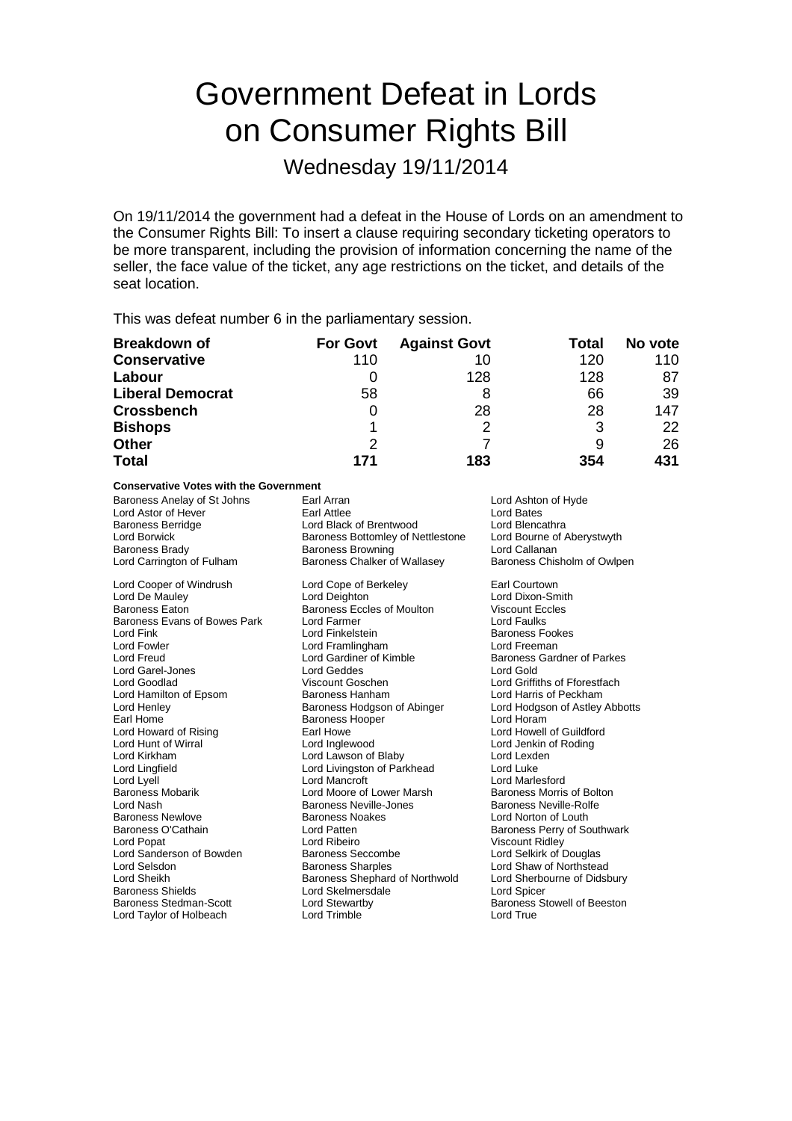# Government Defeat in Lords on Consumer Rights Bill

Wednesday 19/11/2014

On 19/11/2014 the government had a defeat in the House of Lords on an amendment to the Consumer Rights Bill: To insert a clause requiring secondary ticketing operators to be more transparent, including the provision of information concerning the name of the seller, the face value of the ticket, any age restrictions on the ticket, and details of the seat location.

This was defeat number 6 in the parliamentary session.

| <b>Breakdown of</b>     | <b>For Govt</b> | <b>Against Govt</b> | Total | No vote |
|-------------------------|-----------------|---------------------|-------|---------|
| <b>Conservative</b>     | 110             | 10                  | 120   | 110     |
| Labour                  |                 | 128                 | 128   | 87      |
| <b>Liberal Democrat</b> | 58              |                     | 66    | 39      |
| <b>Crossbench</b>       | O               | 28                  | 28    | 147     |
| <b>Bishops</b>          |                 | 2                   | 3     | 22      |
| <b>Other</b>            | 2               |                     |       | 26      |
| <b>Total</b>            | 171             | 183                 | 354   | 431     |

## **Conservative Votes with the Government**

Baroness Anelay of St Johns Earl Arran and Lord Ashton of Hyde<br>
Lord Astor of Hever **Earl Attlee Earl Attlee Lord Bates** Lord Astor of Hever **Earl Attlee** Earl Attlee **Earl Attlee** Lord Bates<br>
Baroness Berridge **Earl Access** Lord Black of Brentwood **Earl Access** Lord Blencathra Baroness Berridge **Lord Black of Brentwood** Lord Blencathra<br>
Lord Borwick **Lord Borwick** Baroness Bottomley of Nettlestone Lord Bourne of Aberystwyth Baroness Brady Baroness Browning<br>
Lord Carrington of Fulham<br>
Baroness Chalker o

Baroness Evans of Bowes Park Lord Farmer<br>Lord Fink Lord Fowler **Lord Framlingham**<br>
Lord Freud **Lord Freud**Lord Gardiner of Kimble Lord Garel-Jones **Lord Geddes** Lord Hamilton of Epsom Baroness Hanham<br>
Lord Henley Baroness Hodgson of Abinger Lord Nash Baroness Neville-Jones Lord Sanderson of Bowden Baroness Seccomb<br>
Baroness Sharples<br>
Baroness Sharples

Lord Borwick **Conserversity Baroness Bottomley of Nettlestone** Lord Bourne of Baroness Browning Corporation Callanan Baroness Chalker of Wallasey Baroness Chisholm of Owlpen Lord Cooper of Windrush Lord Cope of Berkeley **Earl Courtown**<br>
Lord De Mauley **Container Lord Deighton** Lord Dixon-Sm Lord De Mauley **Lord Deighton** Lord Deighton Lord Dixon-Smith<br>
Baroness Eaton **Baroness Eccles of Moulton** Viscount Eccles Baroness Eccles of Moulton Viscount Ec<br>
Lord Farmer Corp Lord Faulks Lord Fink Lord Finkelstein Finding Baroness Fookes<br>
Lord Fowler Freeman Baroness Fookes<br>
Lord Freeman Baroness Lord Framlingham Lord Treeman Lord Goodlad Viscount Goschen Lord Griffiths of Fforestfach Lord Henley **Example 2** Baroness Hodgson of Abinger Lord Hodgson of Astley Abbotts<br>Earl Home **Baroness Hooper** Lord Horam Baroness Hooper Lord Howard of Rising **Earl Howe Earl Howe Lord Howell of Guildford**<br>
Lord Hunt of Wirral **Earl Howe Lord Inglewood** Lord Lord Jenkin of Roding Lord Hunt of Wirral **Lord Lord Inglewood** Cord Jenkin of Roding<br>
Lord Kirkham **Lord Lord Lawson of Blaby** Cord Lexden Lord Lawson of Blaby Lord Lingfield Lord Livingston of Parkhead Lord Luke Lord Lyell Lord Mancroft Lord Mancroft Lord Mancroft Lord Mancroft Cord Mancroft Cord Mancroft Lord Move Baroness Morris of Bolton Lord Moore of Lower Marsh Baroness Morris of Boltoness Meville-Rolfe<br>Baroness Neville-Jones Baroness Neville-Rolfe Baroness Newlove **Baroness Noakes** Lord Norton of Louth Baroness O'Cathain Lord Patten Baroness Perry of Southwark Lord Ribeiro<br>
Baroness Seccombe<br>
Lord Selkirk of Douglas Lord Selsdon **Baroness Sharples** Lord Shaw of Northstead<br>
Lord Sheikh **Baroness Shephard of Northwold** Lord Sherbourne of Didsbury Lord Sheikh **Baroness Shephard of Northwold** Lord Sherbourness Shephard of Northwold Lord Sherbourne of Didsbury<br>Baroness Shields **Didense of Didense Corporation** Lord Spicer Lord Skelmersdale Baroness Stedman-Scott **Lord Stewartby Community** Baroness Stowell of Beeston Lord Taylor of Holbeach Lord Trimble Lord True

Baroness Gardner of Parkes<br>Lord Gold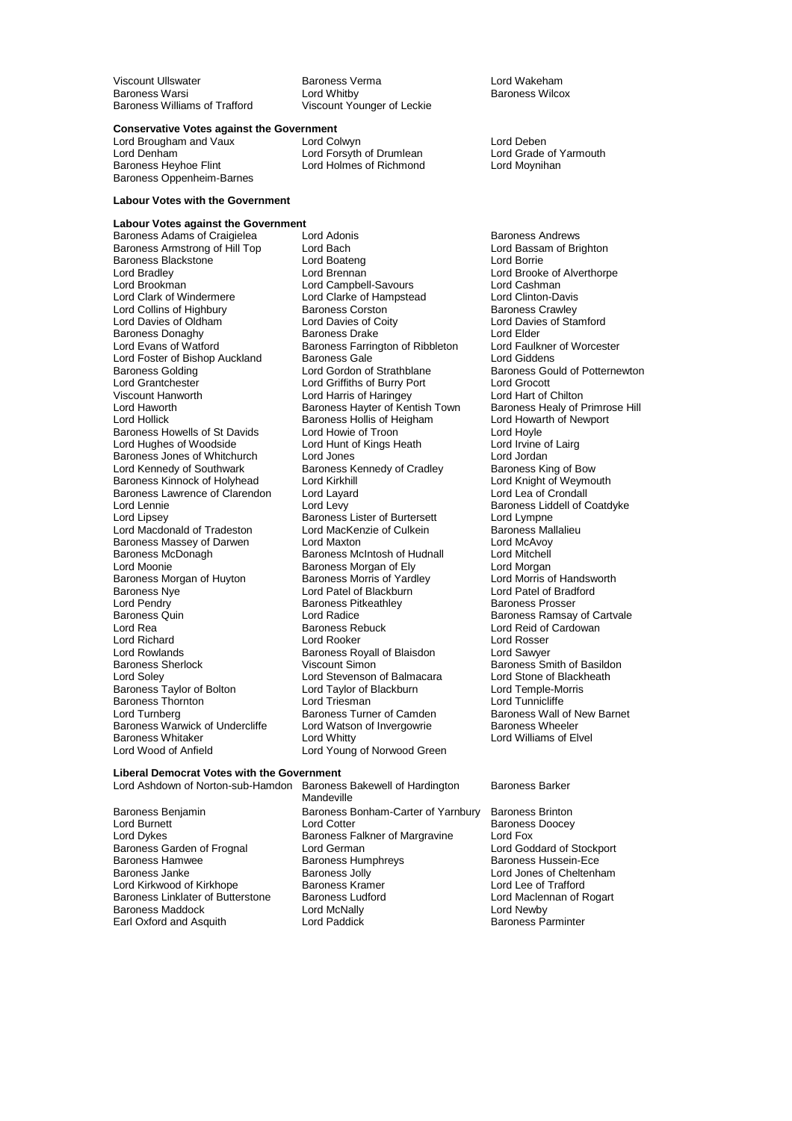Viscount Ullswater Baroness Verma Lord Wakeham Baroness Warsi **Exercise Seart Condomits Lord Whitby** Baroness Wilcox<br>Baroness Williams of Trafford **Baroness Williams** Viscount Younger of Leckie

Viscount Younger of Leckie

**Conservative Votes against the Government**<br>
Lord Brougham and Vaux<br>
Lord Colwyn

Lord Denham **Lord Forsyth of Drumlean** Lord Grade of Yarmouth Baroness Heyhoe Flint Lord Korean Lord Moynihan Baroness Oppenheim-Barnes

#### **Labour Votes with the Government**

**Labour Votes against the Government** Baroness Adams of Craigielea Lord Adonis<br>
Baroness Armstrong of Hill Top Lord Bach Cord Bach Lord Bassam of Brighton **Baroness Armstrong of Hill Top Lord Bach Lord Baroness Armstrong of Hill Top Lord Bach Lord Baroness Blackstone Lord Boateng** Baroness Blackstone **Lord Boateng**<br>
Lord Bradley **Lord Brennan** Lord Bradley Lord Brennan Lord Brooke of Alverthorpe Lord Brookman **Lord Campbell-Savours** Lord Cashman Lord Cashman Lord Cashman Lord Clarke of Hampstead Lord Clinton-Davis Lord Collins of Highbury **Baroness Corston**<br> **Lord Davies of Oldham Baroness Corston** Baroness Donaghy **Baroness Drake** Lord Elder<br>
Lord Evans of Watford **Baroness Farrington** of Ribbleton Lord Faulkner of Worcester Lord Foster of Bishop Auckland Baroness Gale<br>
Baroness Golding Cord Gordon of Strathblane Baroness Golding **Lord Gordon of Strathblane** Baroness Gould of Potternewton Lord Grantchester **Lord Griffiths of Burry Port** Lord Grocott Lord Grantchester Lord Griffiths of Burry Port Lord Grocott Viscount Hanworth **Lord Harris of Haringey** Lord Hart of Chilton<br>Lord Haworth **Lord Hart of Hart Communist Communist Communist Communist Communist Communist Communist Communist** Lord Haworth **Baroness Hayter of Kentish Town** Baroness Healy of Primrose Healy of Primrose Hollick Baroness Hollis of Heigham Lord Howarth of Newport Baroness Howells of St Davids<br>
Lord Hoyle Lord Howie of Troon Lord Hoyle<br>
Lord Hunt of Kings Heath Lord Irvine of Lairg Lord Hughes of Woodside Lord Hunt of Kings Heath Lord Irvine of Rings Heath Lord Irvine of Lord Jordan Baroness Jones of Whitchurch Lord Jones<br>
Lord Kennedy of Southwark Baroness Kennedy of Cradley Baroness King of Bow Baroness Kinnock of Holyhead Lord Kirkhill Lord Cord Knight of Weym<br>Baroness Lawrence of Clarendon Lord Layard Lord Lord Lord Lea of Crondall Baroness Lawrence of Clarendon Lord Layar<br>Lord Lennie Lord Levy Lord Lennie Lord Levy Lord Levy Baroness Liddell of Coatdyke<br>
Lord Lipsey Baroness Lister of Burtersett Lord Lympne Lord Macdonald of Tradeston Lord MacKenzie of Culkein Baroness Ma<br>Baroness Massey of Darwen Lord Maxton Lord MacAvoy Baroness Massey of Darwen Lord Maxton Lord Muslem Lord McAvoy<br>Baroness McDonagh Corress McIntosh of Hudnall Lord Mitchell Lord Moonie<br>
Baroness Morgan of Huyton Baroness Morris of Yardley<br>
Baroness Morris of Handsworth Baroness Morris of Yardley<br>
Lord Morris of Handsworth Baroness Morgan of Huyton Baroness Morris of Yardley Cord Morris of Handsworth Baroness Norris of Handsworth B<br>Baroness Nye Cord Patel of Blackburn Lord Patel of Bradford Baroness Nye **Communist Constructed Constructs**<br>
Lord Pendry **Communist Constructs**<br>
Baroness Prosser<br>
Baroness Prosser Lord Pendry **Baroness Pitkeathley**<br>
Baroness Quin **Baroness** Cuin Baroness Quin Ecrosoft Cord Radice Cornel and Baroness Ramsay of Cartvale Lord Reid<br>Lord Rea Lord Reading Baroness Rebuck Lord Reid of Cardowan Lord Rea Baroness Rebuck Lord Reid of Cardowan<br>Lord Richard Cord Rooker Lord Rosser Lord Rosser Lord Richard **Lord Rooker** Lord Rooker Lord Rosser<br>
Lord Rowlands **Constant Constant Baroness Rovall of Blaisdon** Lord Sawyer Lord Rowlands<br>
Baroness Sherlock<br>
Viscount Simon<br>
Viscount Simon Baroness Sherlock **Viscount Simon**<br>
Lord Soley **Baroness** Smith of Basildon<br>
Lord Stevenson of Balmacara 
Lord Stone of Blackheath Baroness Taylor of Bolton Lord Taylor of Blackburn Lord Temple-Morris Lord Temple-Morris Lord Temple-Morris Lord Temple-Morris Lord Temple-Morris Lord Temple-Morris Lord Temple-Morris Lord Tunnicliffe Baroness Thornton **Communication Control Control** Lord Triesman<br>
Lord Turnberg **Communication**<br>
Lord Turnberg **Communication**<br>
Baroness Turner of Camden Baroness Warwick of Undercliffe Lord Watso<br>Baroness Whitaker Lord Whitty Baroness Whitaker Lord Whitty Lord Whitty Cord World Lord World Lord World Lord World Lord World Creen Lord World Lord World Creen Lord World Lord World Creen Lord World Lord Young of Norwood Green Lord World Lord Young of

Lord Brougham and Vaux Lord Colwyn Lord Deben Lord Holmes of Richmond

Lord Clarke of Hampstead Lord Clinton-Davis<br>Baroness Corston Baroness Crawley Lord Davies of Coity<br>
Baroness Drake<br>
Lord Elder Baroness Farrington of Ribbleton Lord Faulkner<br>Baroness Gale Corp. Lord Giddens Baroness Hollis of Heigham Lord Howarth Lord Howarth Cord Hoyle<br>Lord Howie of Troon Baroness Kennedy of Cradley Baroness King of Bow<br>
Lord Kirkhill Baroness Kinght of Weymouth Lord Lipsey Baroness Lister of Burtersett Lord Lympne Baroness McIntosh of Hudnall Lord Stevenson of Balmacara Lord Stone of Black<br>
Lord Taylor of Blackburn Lord Temple-Morris Baroness Turner of Camden Baroness Wall of New Barnet<br>
Lord Watson of Invergowrie Baroness Wheeler Lord Young of Norwood Green

**Liberal Democrat Votes with the Government**

Baroness Hamwee Baroness Humphreys<br>Baroness Janke Baroness Jolly Earl Oxford and Asquith

Mandeville Baroness Benjamin **Baroness Bonham-Carter of Yarnbury** Baroness Brinton<br>Lord Burnett Baroness Doocey Lord Burnett **Lord Cotter State Control** Lord Cotter **Baroness Doocey**<br>
Lord Dykes **Baroness Falkner of Margravine** Lord Fox Baroness Falkner of Margravine Lord Fox<br>
Lord German<br>
Lord Goddard of Stockport Baroness Garden of Frognal Lord German Lord Goddard of Stockport Corporation Corporation Corporation Corporatio<br>Baroness Hamwee Baroness Humphrevs Corporation Corporation-Ece Baroness Jolly **Concernsive Baroness Jolly** Lord Jones of Cheltenham<br>
Baroness Kramer<br>
Lord Lee of Trafford Lord Kirkwood of Kirkhope **Baroness Kramer** Lord Lee of Trafford<br>
Baroness Linklater of Butterstone Baroness Ludford **Baroness Lord Maclennan** of Rogart Baroness Linklater of Butterstone Baroness Ludford Lord Maclennan Corporation Corporation Corporation Corporat<br>Baroness Maddock Lord McNally Lord Mewby Baroness Maddock Lord McNally Lord Newby

#### Lord Ashdown of Norton-sub-Hamdon Baroness Bakewell of Hardington Baroness Barker